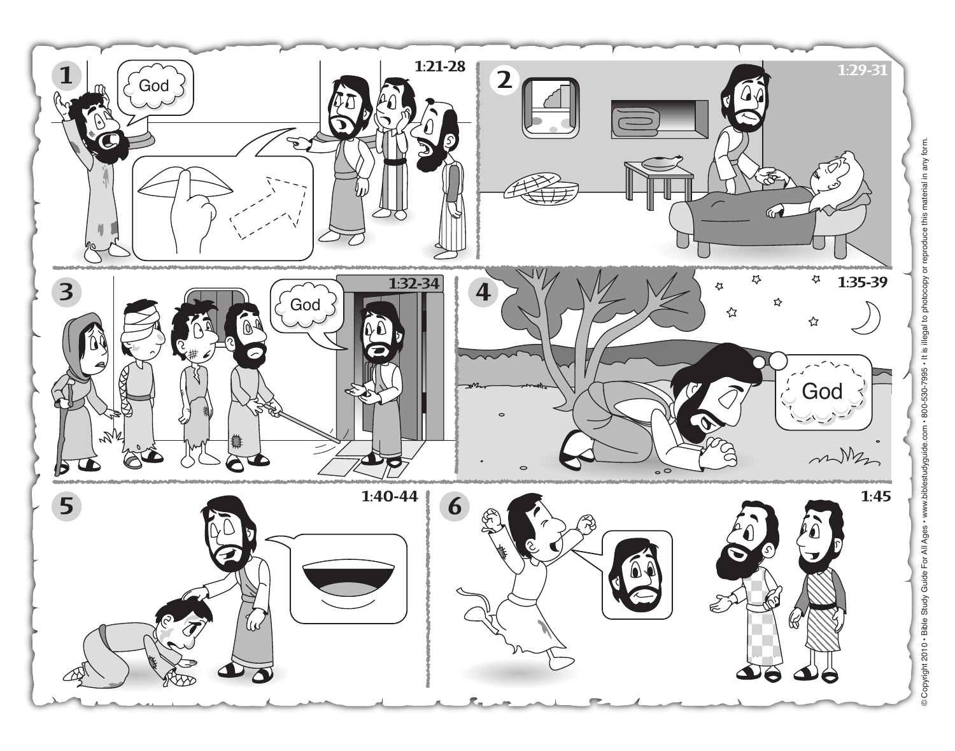

© Copyright 2010 · Bible Study Guide For All Ages · www.biblestudyguide.com · 800-530-7995 · It is illegal to photocopy or reproduce this material in any form. © Copyright 2010 • Bible Study Guide For All Ages • www.biblestudyguide.com • 800-530-7995 • It is illegal to photocopy or reproduce this material in any form.